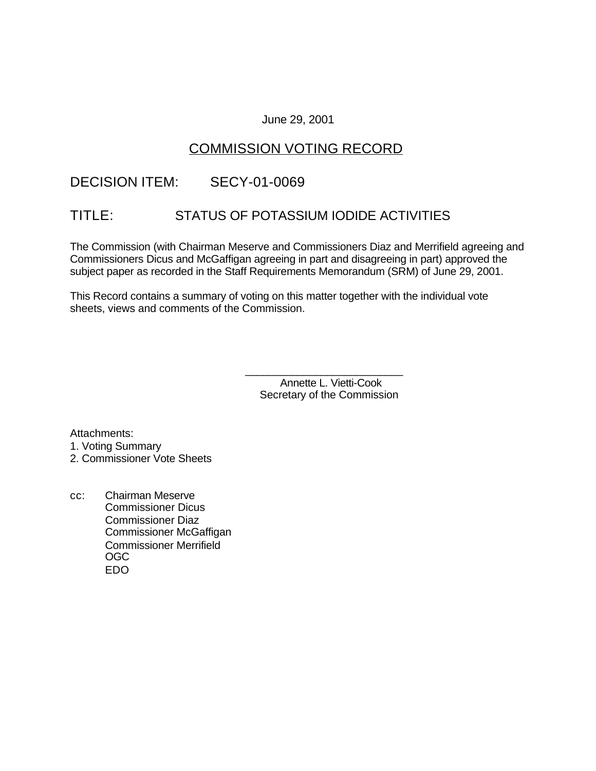### June 29, 2001

# COMMISSION VOTING RECORD

# DECISION ITEM: SECY-01-0069

# TITLE: STATUS OF POTASSIUM IODIDE ACTIVITIES

The Commission (with Chairman Meserve and Commissioners Diaz and Merrifield agreeing and Commissioners Dicus and McGaffigan agreeing in part and disagreeing in part) approved the subject paper as recorded in the Staff Requirements Memorandum (SRM) of June 29, 2001.

This Record contains a summary of voting on this matter together with the individual vote sheets, views and comments of the Commission.

> Annette L. Vietti-Cook Secretary of the Commission

\_\_\_\_\_\_\_\_\_\_\_\_\_\_\_\_\_\_\_\_\_\_\_\_\_\_\_

Attachments: 1. Voting Summary 2. Commissioner Vote Sheets

cc: Chairman Meserve Commissioner Dicus Commissioner Diaz Commissioner McGaffigan Commissioner Merrifield OGC EDO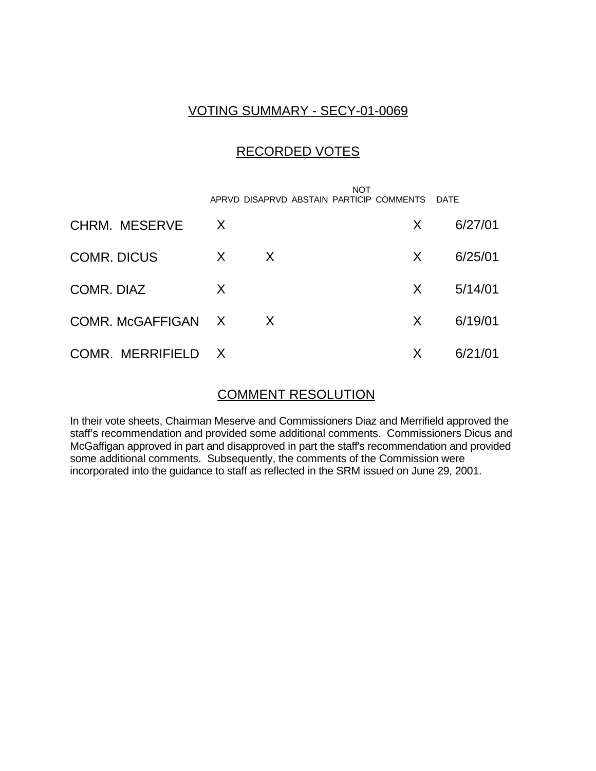## VOTING SUMMARY - SECY-01-0069

## RECORDED VOTES

|                      |              |   | <b>NOT</b><br>APRVD DISAPRVD ABSTAIN PARTICIP COMMENTS |    | <b>DATE</b> |
|----------------------|--------------|---|--------------------------------------------------------|----|-------------|
| <b>CHRM. MESERVE</b> | $\mathsf{X}$ |   |                                                        | X  | 6/27/01     |
| <b>COMR. DICUS</b>   | X            | X |                                                        | X. | 6/25/01     |
| COMR. DIAZ           | X            |   |                                                        | X  | 5/14/01     |
| COMR. McGAFFIGAN X   |              | X |                                                        | X  | 6/19/01     |
| COMR. MERRIFIELD X   |              |   |                                                        | X  | 6/21/01     |

## COMMENT RESOLUTION

In their vote sheets, Chairman Meserve and Commissioners Diaz and Merrifield approved the staff's recommendation and provided some additional comments. Commissioners Dicus and McGaffigan approved in part and disapproved in part the staff's recommendation and provided some additional comments. Subsequently, the comments of the Commission were incorporated into the guidance to staff as reflected in the SRM issued on June 29, 2001.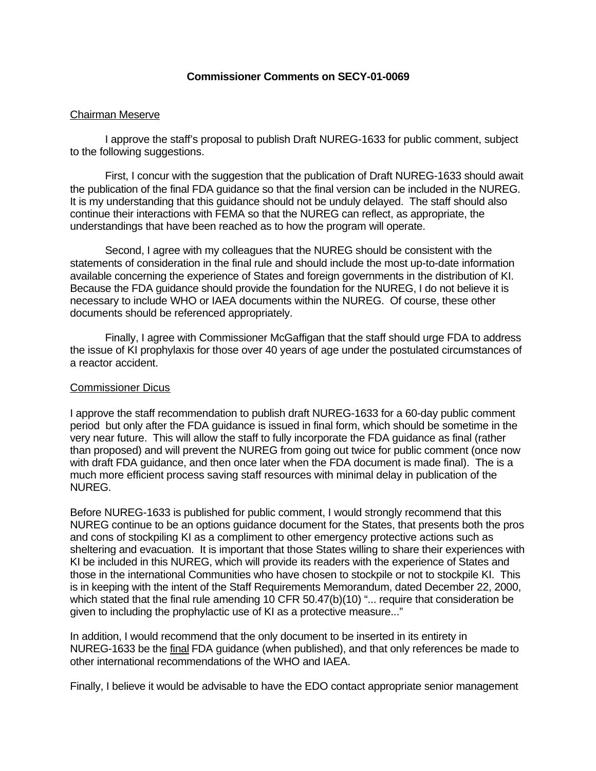### **Commissioner Comments on SECY-01-0069**

### Chairman Meserve

I approve the staff's proposal to publish Draft NUREG-1633 for public comment, subject to the following suggestions.

First, I concur with the suggestion that the publication of Draft NUREG-1633 should await the publication of the final FDA guidance so that the final version can be included in the NUREG. It is my understanding that this guidance should not be unduly delayed. The staff should also continue their interactions with FEMA so that the NUREG can reflect, as appropriate, the understandings that have been reached as to how the program will operate.

Second, I agree with my colleagues that the NUREG should be consistent with the statements of consideration in the final rule and should include the most up-to-date information available concerning the experience of States and foreign governments in the distribution of KI. Because the FDA guidance should provide the foundation for the NUREG, I do not believe it is necessary to include WHO or IAEA documents within the NUREG. Of course, these other documents should be referenced appropriately.

Finally, I agree with Commissioner McGaffigan that the staff should urge FDA to address the issue of KI prophylaxis for those over 40 years of age under the postulated circumstances of a reactor accident.

### Commissioner Dicus

I approve the staff recommendation to publish draft NUREG-1633 for a 60-day public comment period but only after the FDA guidance is issued in final form, which should be sometime in the very near future. This will allow the staff to fully incorporate the FDA guidance as final (rather than proposed) and will prevent the NUREG from going out twice for public comment (once now with draft FDA guidance, and then once later when the FDA document is made final). The is a much more efficient process saving staff resources with minimal delay in publication of the NUREG.

Before NUREG-1633 is published for public comment, I would strongly recommend that this NUREG continue to be an options guidance document for the States, that presents both the pros and cons of stockpiling KI as a compliment to other emergency protective actions such as sheltering and evacuation. It is important that those States willing to share their experiences with KI be included in this NUREG, which will provide its readers with the experience of States and those in the international Communities who have chosen to stockpile or not to stockpile KI. This is in keeping with the intent of the Staff Requirements Memorandum, dated December 22, 2000, which stated that the final rule amending 10 CFR 50.47(b)(10) "... require that consideration be given to including the prophylactic use of KI as a protective measure..."

In addition, I would recommend that the only document to be inserted in its entirety in NUREG-1633 be the final FDA guidance (when published), and that only references be made to other international recommendations of the WHO and IAEA.

Finally, I believe it would be advisable to have the EDO contact appropriate senior management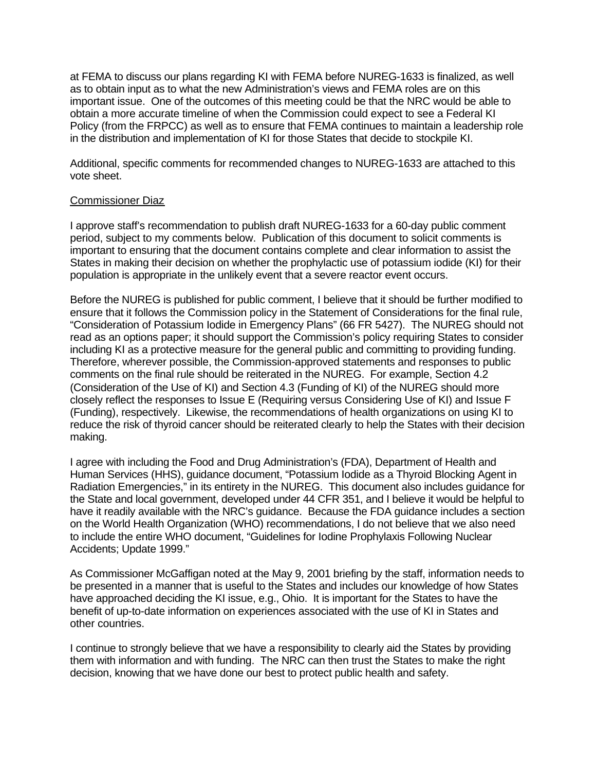at FEMA to discuss our plans regarding KI with FEMA before NUREG-1633 is finalized, as well as to obtain input as to what the new Administration's views and FEMA roles are on this important issue. One of the outcomes of this meeting could be that the NRC would be able to obtain a more accurate timeline of when the Commission could expect to see a Federal KI Policy (from the FRPCC) as well as to ensure that FEMA continues to maintain a leadership role in the distribution and implementation of KI for those States that decide to stockpile KI.

Additional, specific comments for recommended changes to NUREG-1633 are attached to this vote sheet.

#### Commissioner Diaz

I approve staff's recommendation to publish draft NUREG-1633 for a 60-day public comment period, subject to my comments below. Publication of this document to solicit comments is important to ensuring that the document contains complete and clear information to assist the States in making their decision on whether the prophylactic use of potassium iodide (KI) for their population is appropriate in the unlikely event that a severe reactor event occurs.

Before the NUREG is published for public comment, I believe that it should be further modified to ensure that it follows the Commission policy in the Statement of Considerations for the final rule, "Consideration of Potassium Iodide in Emergency Plans" (66 FR 5427). The NUREG should not read as an options paper; it should support the Commission's policy requiring States to consider including KI as a protective measure for the general public and committing to providing funding. Therefore, wherever possible, the Commission-approved statements and responses to public comments on the final rule should be reiterated in the NUREG. For example, Section 4.2 (Consideration of the Use of KI) and Section 4.3 (Funding of KI) of the NUREG should more closely reflect the responses to Issue E (Requiring versus Considering Use of KI) and Issue F (Funding), respectively. Likewise, the recommendations of health organizations on using KI to reduce the risk of thyroid cancer should be reiterated clearly to help the States with their decision making.

I agree with including the Food and Drug Administration's (FDA), Department of Health and Human Services (HHS), guidance document, "Potassium Iodide as a Thyroid Blocking Agent in Radiation Emergencies," in its entirety in the NUREG. This document also includes guidance for the State and local government, developed under 44 CFR 351, and I believe it would be helpful to have it readily available with the NRC's guidance. Because the FDA guidance includes a section on the World Health Organization (WHO) recommendations, I do not believe that we also need to include the entire WHO document, "Guidelines for Iodine Prophylaxis Following Nuclear Accidents; Update 1999."

As Commissioner McGaffigan noted at the May 9, 2001 briefing by the staff, information needs to be presented in a manner that is useful to the States and includes our knowledge of how States have approached deciding the KI issue, e.g., Ohio. It is important for the States to have the benefit of up-to-date information on experiences associated with the use of KI in States and other countries.

I continue to strongly believe that we have a responsibility to clearly aid the States by providing them with information and with funding. The NRC can then trust the States to make the right decision, knowing that we have done our best to protect public health and safety.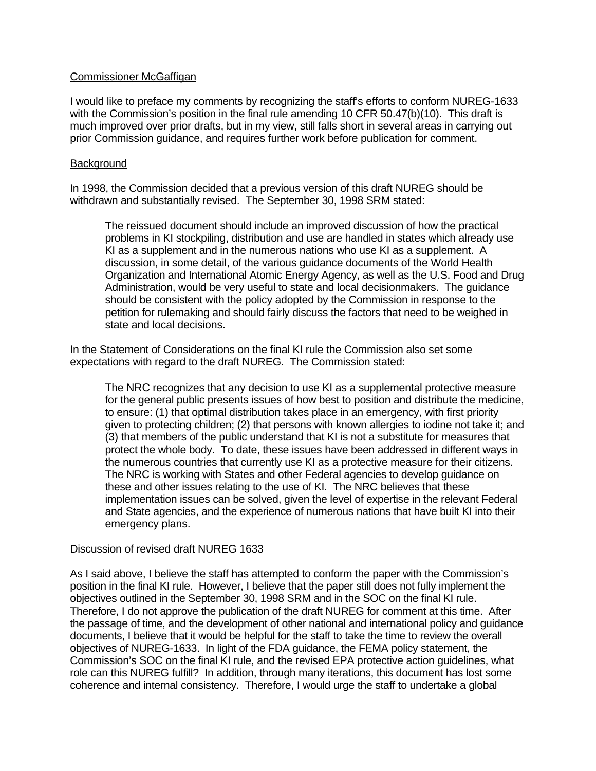### Commissioner McGaffigan

I would like to preface my comments by recognizing the staff's efforts to conform NUREG-1633 with the Commission's position in the final rule amending 10 CFR 50.47(b)(10). This draft is much improved over prior drafts, but in my view, still falls short in several areas in carrying out prior Commission guidance, and requires further work before publication for comment.

### **Background**

In 1998, the Commission decided that a previous version of this draft NUREG should be withdrawn and substantially revised. The September 30, 1998 SRM stated:

The reissued document should include an improved discussion of how the practical problems in KI stockpiling, distribution and use are handled in states which already use KI as a supplement and in the numerous nations who use KI as a supplement. A discussion, in some detail, of the various guidance documents of the World Health Organization and International Atomic Energy Agency, as well as the U.S. Food and Drug Administration, would be very useful to state and local decisionmakers. The guidance should be consistent with the policy adopted by the Commission in response to the petition for rulemaking and should fairly discuss the factors that need to be weighed in state and local decisions.

In the Statement of Considerations on the final KI rule the Commission also set some expectations with regard to the draft NUREG. The Commission stated:

The NRC recognizes that any decision to use KI as a supplemental protective measure for the general public presents issues of how best to position and distribute the medicine, to ensure: (1) that optimal distribution takes place in an emergency, with first priority given to protecting children; (2) that persons with known allergies to iodine not take it; and (3) that members of the public understand that KI is not a substitute for measures that protect the whole body. To date, these issues have been addressed in different ways in the numerous countries that currently use KI as a protective measure for their citizens. The NRC is working with States and other Federal agencies to develop guidance on these and other issues relating to the use of KI. The NRC believes that these implementation issues can be solved, given the level of expertise in the relevant Federal and State agencies, and the experience of numerous nations that have built KI into their emergency plans.

#### Discussion of revised draft NUREG 1633

As I said above, I believe the staff has attempted to conform the paper with the Commission's position in the final KI rule. However, I believe that the paper still does not fully implement the objectives outlined in the September 30, 1998 SRM and in the SOC on the final KI rule. Therefore, I do not approve the publication of the draft NUREG for comment at this time. After the passage of time, and the development of other national and international policy and guidance documents, I believe that it would be helpful for the staff to take the time to review the overall objectives of NUREG-1633. In light of the FDA guidance, the FEMA policy statement, the Commission's SOC on the final KI rule, and the revised EPA protective action guidelines, what role can this NUREG fulfill? In addition, through many iterations, this document has lost some coherence and internal consistency. Therefore, I would urge the staff to undertake a global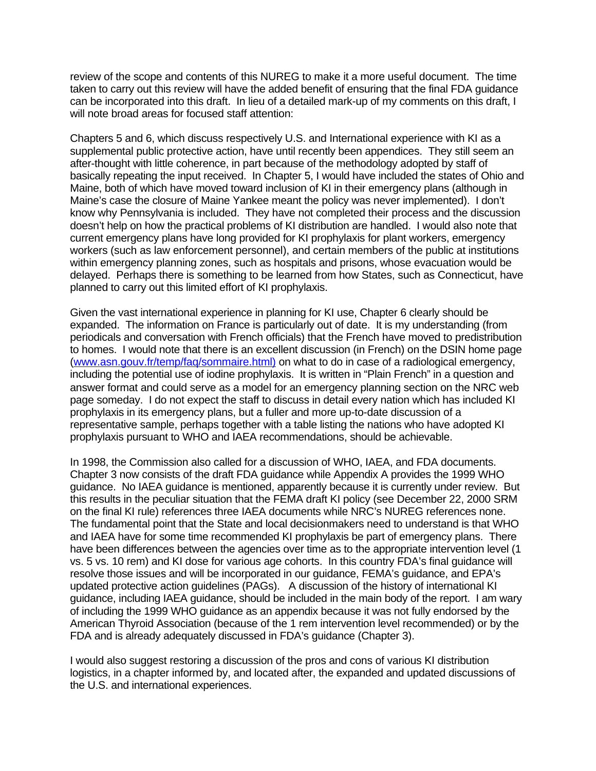review of the scope and contents of this NUREG to make it a more useful document. The time taken to carry out this review will have the added benefit of ensuring that the final FDA guidance can be incorporated into this draft. In lieu of a detailed mark-up of my comments on this draft, I will note broad areas for focused staff attention:

Chapters 5 and 6, which discuss respectively U.S. and International experience with KI as a supplemental public protective action, have until recently been appendices. They still seem an after-thought with little coherence, in part because of the methodology adopted by staff of basically repeating the input received. In Chapter 5, I would have included the states of Ohio and Maine, both of which have moved toward inclusion of KI in their emergency plans (although in Maine's case the closure of Maine Yankee meant the policy was never implemented). I don't know why Pennsylvania is included. They have not completed their process and the discussion doesn't help on how the practical problems of KI distribution are handled. I would also note that current emergency plans have long provided for KI prophylaxis for plant workers, emergency workers (such as law enforcement personnel), and certain members of the public at institutions within emergency planning zones, such as hospitals and prisons, whose evacuation would be delayed. Perhaps there is something to be learned from how States, such as Connecticut, have planned to carry out this limited effort of KI prophylaxis.

Given the vast international experience in planning for KI use, Chapter 6 clearly should be expanded. The information on France is particularly out of date. It is my understanding (from periodicals and conversation with French officials) that the French have moved to predistribution to homes. I would note that there is an excellent discussion (in French) on the DSIN home page (www.asn.gouv.fr/temp/faq/sommaire.html) on what to do in case of a radiological emergency, including the potential use of iodine prophylaxis. It is written in "Plain French" in a question and answer format and could serve as a model for an emergency planning section on the NRC web page someday. I do not expect the staff to discuss in detail every nation which has included KI prophylaxis in its emergency plans, but a fuller and more up-to-date discussion of a representative sample, perhaps together with a table listing the nations who have adopted KI prophylaxis pursuant to WHO and IAEA recommendations, should be achievable.

In 1998, the Commission also called for a discussion of WHO, IAEA, and FDA documents. Chapter 3 now consists of the draft FDA guidance while Appendix A provides the 1999 WHO guidance. No IAEA guidance is mentioned, apparently because it is currently under review. But this results in the peculiar situation that the FEMA draft KI policy (see December 22, 2000 SRM on the final KI rule) references three IAEA documents while NRC's NUREG references none. The fundamental point that the State and local decisionmakers need to understand is that WHO and IAEA have for some time recommended KI prophylaxis be part of emergency plans. There have been differences between the agencies over time as to the appropriate intervention level (1 vs. 5 vs. 10 rem) and KI dose for various age cohorts. In this country FDA's final guidance will resolve those issues and will be incorporated in our guidance, FEMA's guidance, and EPA's updated protective action guidelines (PAGs). A discussion of the history of international KI guidance, including IAEA guidance, should be included in the main body of the report. I am wary of including the 1999 WHO guidance as an appendix because it was not fully endorsed by the American Thyroid Association (because of the 1 rem intervention level recommended) or by the FDA and is already adequately discussed in FDA's guidance (Chapter 3).

I would also suggest restoring a discussion of the pros and cons of various KI distribution logistics, in a chapter informed by, and located after, the expanded and updated discussions of the U.S. and international experiences.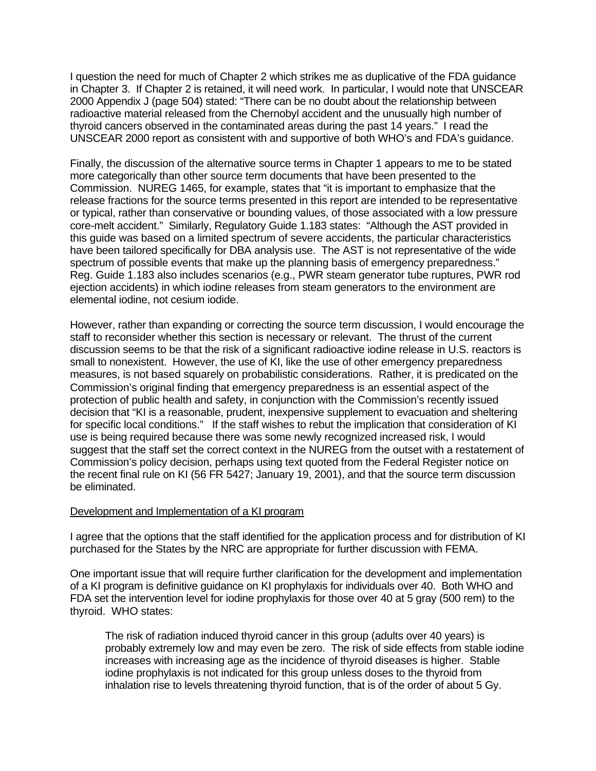I question the need for much of Chapter 2 which strikes me as duplicative of the FDA guidance in Chapter 3. If Chapter 2 is retained, it will need work. In particular, I would note that UNSCEAR 2000 Appendix J (page 504) stated: "There can be no doubt about the relationship between radioactive material released from the Chernobyl accident and the unusually high number of thyroid cancers observed in the contaminated areas during the past 14 years." I read the UNSCEAR 2000 report as consistent with and supportive of both WHO's and FDA's guidance.

Finally, the discussion of the alternative source terms in Chapter 1 appears to me to be stated more categorically than other source term documents that have been presented to the Commission. NUREG 1465, for example, states that "it is important to emphasize that the release fractions for the source terms presented in this report are intended to be representative or typical, rather than conservative or bounding values, of those associated with a low pressure core-melt accident." Similarly, Regulatory Guide 1.183 states: "Although the AST provided in this guide was based on a limited spectrum of severe accidents, the particular characteristics have been tailored specifically for DBA analysis use. The AST is not representative of the wide spectrum of possible events that make up the planning basis of emergency preparedness." Reg. Guide 1.183 also includes scenarios (e.g., PWR steam generator tube ruptures, PWR rod ejection accidents) in which iodine releases from steam generators to the environment are elemental iodine, not cesium iodide.

However, rather than expanding or correcting the source term discussion, I would encourage the staff to reconsider whether this section is necessary or relevant. The thrust of the current discussion seems to be that the risk of a significant radioactive iodine release in U.S. reactors is small to nonexistent. However, the use of KI, like the use of other emergency preparedness measures, is not based squarely on probabilistic considerations. Rather, it is predicated on the Commission's original finding that emergency preparedness is an essential aspect of the protection of public health and safety, in conjunction with the Commission's recently issued decision that "KI is a reasonable, prudent, inexpensive supplement to evacuation and sheltering for specific local conditions." If the staff wishes to rebut the implication that consideration of KI use is being required because there was some newly recognized increased risk, I would suggest that the staff set the correct context in the NUREG from the outset with a restatement of Commission's policy decision, perhaps using text quoted from the Federal Register notice on the recent final rule on KI (56 FR 5427; January 19, 2001), and that the source term discussion be eliminated.

#### Development and Implementation of a KI program

I agree that the options that the staff identified for the application process and for distribution of KI purchased for the States by the NRC are appropriate for further discussion with FEMA.

One important issue that will require further clarification for the development and implementation of a KI program is definitive guidance on KI prophylaxis for individuals over 40. Both WHO and FDA set the intervention level for iodine prophylaxis for those over 40 at 5 gray (500 rem) to the thyroid. WHO states:

The risk of radiation induced thyroid cancer in this group (adults over 40 years) is probably extremely low and may even be zero. The risk of side effects from stable iodine increases with increasing age as the incidence of thyroid diseases is higher. Stable iodine prophylaxis is not indicated for this group unless doses to the thyroid from inhalation rise to levels threatening thyroid function, that is of the order of about 5 Gy.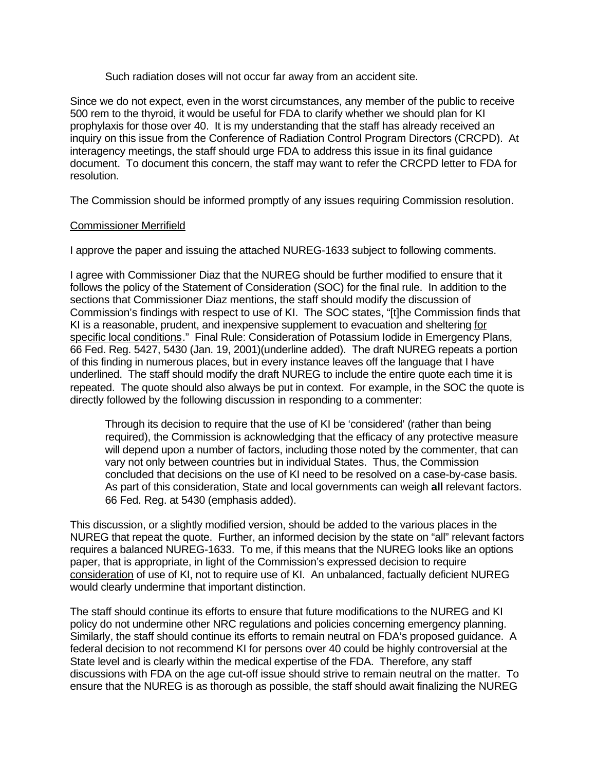Such radiation doses will not occur far away from an accident site.

Since we do not expect, even in the worst circumstances, any member of the public to receive 500 rem to the thyroid, it would be useful for FDA to clarify whether we should plan for KI prophylaxis for those over 40. It is my understanding that the staff has already received an inquiry on this issue from the Conference of Radiation Control Program Directors (CRCPD). At interagency meetings, the staff should urge FDA to address this issue in its final guidance document. To document this concern, the staff may want to refer the CRCPD letter to FDA for resolution.

The Commission should be informed promptly of any issues requiring Commission resolution.

### Commissioner Merrifield

I approve the paper and issuing the attached NUREG-1633 subject to following comments.

I agree with Commissioner Diaz that the NUREG should be further modified to ensure that it follows the policy of the Statement of Consideration (SOC) for the final rule. In addition to the sections that Commissioner Diaz mentions, the staff should modify the discussion of Commission's findings with respect to use of KI. The SOC states, "[t]he Commission finds that KI is a reasonable, prudent, and inexpensive supplement to evacuation and sheltering for specific local conditions." Final Rule: Consideration of Potassium Iodide in Emergency Plans, 66 Fed. Reg. 5427, 5430 (Jan. 19, 2001)(underline added). The draft NUREG repeats a portion of this finding in numerous places, but in every instance leaves off the language that I have underlined. The staff should modify the draft NUREG to include the entire quote each time it is repeated. The quote should also always be put in context. For example, in the SOC the quote is directly followed by the following discussion in responding to a commenter:

Through its decision to require that the use of KI be 'considered' (rather than being required), the Commission is acknowledging that the efficacy of any protective measure will depend upon a number of factors, including those noted by the commenter, that can vary not only between countries but in individual States. Thus, the Commission concluded that decisions on the use of KI need to be resolved on a case-by-case basis. As part of this consideration, State and local governments can weigh **all** relevant factors. 66 Fed. Reg. at 5430 (emphasis added).

This discussion, or a slightly modified version, should be added to the various places in the NUREG that repeat the quote. Further, an informed decision by the state on "all" relevant factors requires a balanced NUREG-1633. To me, if this means that the NUREG looks like an options paper, that is appropriate, in light of the Commission's expressed decision to require consideration of use of KI, not to require use of KI. An unbalanced, factually deficient NUREG would clearly undermine that important distinction.

The staff should continue its efforts to ensure that future modifications to the NUREG and KI policy do not undermine other NRC regulations and policies concerning emergency planning. Similarly, the staff should continue its efforts to remain neutral on FDA's proposed guidance. A federal decision to not recommend KI for persons over 40 could be highly controversial at the State level and is clearly within the medical expertise of the FDA. Therefore, any staff discussions with FDA on the age cut-off issue should strive to remain neutral on the matter. To ensure that the NUREG is as thorough as possible, the staff should await finalizing the NUREG